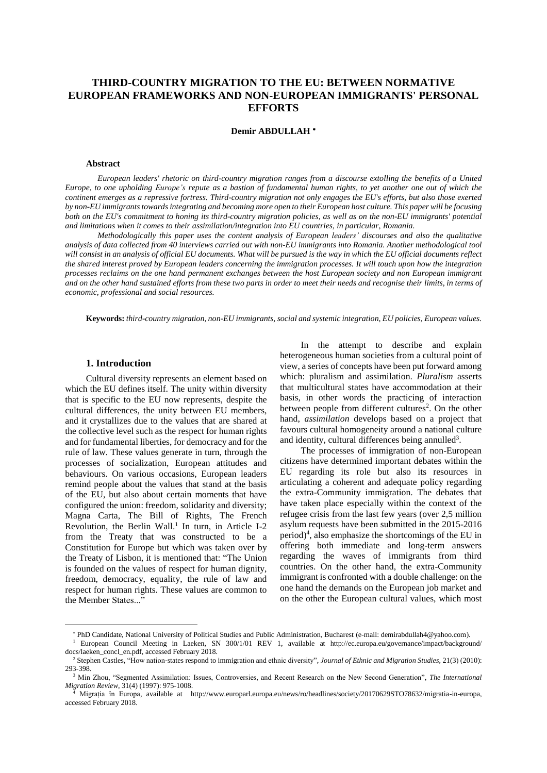# **THIRD-COUNTRY MIGRATION TO THE EU: BETWEEN NORMATIVE EUROPEAN FRAMEWORKS AND NON-EUROPEAN IMMIGRANTS' PERSONAL EFFORTS**

**Demir ABDULLAH**

#### **Abstract**

*European leaders' rhetoric on third-country migration ranges from a discourse extolling the benefits of a United* Europe, to one upholding Europe's repute as a bastion of fundamental human rights, to vet another one out of which the continent emerges as a repressive fortress. Third-country migration not only engages the EU's efforts, but also those exerted by non-EU immigrants towards integrating and becoming more open to their European host culture. This paper will be focusing both on the EU's commitment to honing its third-country migration policies, as well as on the non-EU immigrants' potential *and limitations when it comes to their assimilation/integration into EU countries, in particular, Romania.*

*Methodologically this paper uses the content analysis of European leaders' discourses and also the qualitative* analysis of data collected from 40 interviews carried out with non-EU immigrants into Romania. Another methodological tool will consist in an analysis of official EU documents. What will be pursued is the way in which the EU official documents reflect the shared interest proved by European leaders concerning the immigration processes. It will touch upon how the integration processes reclaims on the one hand permanent exchanges between the host European society and non European immigrant and on the other hand sustained efforts from these two parts in order to meet their needs and recognise their limits, in terms of *economic, professional and social resources.*

**Keywords:** *third-country migration, non-EU immigrants, social and systemic integration, EU policies, European values.*

#### **1. Introduction**

 $\overline{a}$ 

Cultural diversity represents an element based on which the EU defines itself. The unity within diversity that is specific to the EU now represents, despite the cultural differences, the unity between EU members, and it crystallizes due to the values that are shared at the collective level such as the respect for human rights and for fundamental liberties, for democracy and for the rule of law. These values generate in turn, through the processes of socialization, European attitudes and behaviours. On various occasions, European leaders remind people about the values that stand at the basis of the EU, but also about certain moments that have configured the union: freedom, solidarity and diversity; Magna Carta, The Bill of Rights, The French Revolution, the Berlin Wall.<sup>1</sup> In turn, in Article I-2 from the Treaty that was constructed to be a Constitution for Europe but which was taken over by the Treaty of Lisbon, it is mentioned that: "The Union is founded on the values of respect for human dignity, freedom, democracy, equality, the rule of law and respect for human rights. These values are common to the Member States..."

In the attempt to describe and explain heterogeneous human societies from a cultural point of view, a series of concepts have been put forward among which: pluralism and assimilation. *Pluralism* asserts that multicultural states have accommodation at their basis, in other words the practicing of interaction between people from different cultures<sup>2</sup>. On the other hand, *assimilation* develops based on a project that favours cultural homogeneity around a national culture and identity, cultural differences being annulled<sup>3</sup>.

The processes of immigration of non-European citizens have determined important debates within the EU regarding its role but also its resources in articulating a coherent and adequate policy regarding the extra-Community immigration. The debates that have taken place especially within the context of the refugee crisis from the last few years (over 2,5 million asylum requests have been submitted in the 2015-2016 period) 4 , also emphasize the shortcomings of the EU in offering both immediate and long-term answers regarding the waves of immigrants from third countries. On the other hand, the extra-Community immigrant is confronted with a double challenge: on the one hand the demands on the European job market and on the other the European cultural values, which most

PhD Candidate, National University of Political Studies and Public Administration, Bucharest (e-mail: demirabdullah4@yahoo.com).

<sup>&</sup>lt;sup>1</sup> European Council Meeting in Laeken, SN 300/1/01 REV 1, available at http://ec.europa.eu/governance/impact/background/ docs/laeken\_concl\_en.pdf, accessed February 2018.

<sup>2</sup> [Stephen Castles,](http://www.tandfonline.com/author/Castles%2C+Stephen) "How nation‐[states respond to immigration and ethnic diversity",](http://www.tandfonline.com/author/Castles%2C+Stephen) *Journal of Ethnic and Migration Studies*, 21(3) (2010): 293-398.

<sup>3</sup> Min Zhou, "Segmented Assimilation: Issues, Controversies, and Recent Research on the New Second Generation", *The International Migration Review*, 31(4) (1997): 975-1008.<br>
<sup>4</sup> Migration  $\sum_{i=1}^{n}$ 

<sup>4</sup> Migrația în Europa, available at http://www.europarl.europa.eu/news/ro/headlines/society/20170629STO78632/migratia-in-europa, accessed February 2018.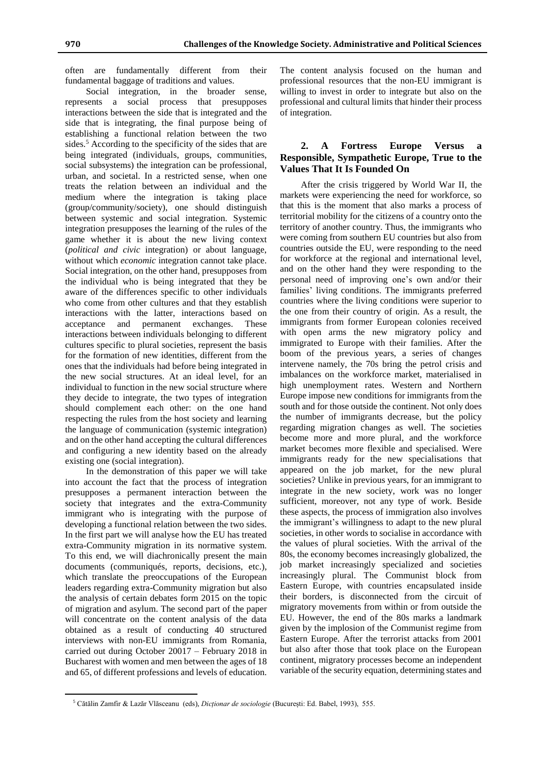often are fundamentally different from their fundamental baggage of traditions and values.

Social integration, in the broader sense, represents a social process that presupposes interactions between the side that is integrated and the side that is integrating, the final purpose being of establishing a functional relation between the two sides.<sup>5</sup> According to the specificity of the sides that are being integrated (individuals, groups, communities, social subsystems) the integration can be professional, urban, and societal. In a restricted sense, when one treats the relation between an individual and the medium where the integration is taking place (group/community/society), one should distinguish between systemic and social integration. Systemic integration presupposes the learning of the rules of the game whether it is about the new living context (*political and civic* integration) or about language, without which *economic* integration cannot take place. Social integration, on the other hand, presupposes from the individual who is being integrated that they be aware of the differences specific to other individuals who come from other cultures and that they establish interactions with the latter, interactions based on acceptance and permanent exchanges. These interactions between individuals belonging to different cultures specific to plural societies, represent the basis for the formation of new identities, different from the ones that the individuals had before being integrated in the new social structures. At an ideal level, for an individual to function in the new social structure where they decide to integrate, the two types of integration should complement each other: on the one hand respecting the rules from the host society and learning the language of communication (systemic integration) and on the other hand accepting the cultural differences and configuring a new identity based on the already existing one (social integration).

In the demonstration of this paper we will take into account the fact that the process of integration presupposes a permanent interaction between the society that integrates and the extra-Community immigrant who is integrating with the purpose of developing a functional relation between the two sides. In the first part we will analyse how the EU has treated extra-Community migration in its normative system. To this end, we will diachronically present the main documents (communiqués, reports, decisions, etc.), which translate the preoccupations of the European leaders regarding extra-Community migration but also the analysis of certain debates form 2015 on the topic of migration and asylum. The second part of the paper will concentrate on the content analysis of the data obtained as a result of conducting 40 structured interviews with non-EU immigrants from Romania, carried out during October 20017 – February 2018 in Bucharest with women and men between the ages of 18 and 65, of different professions and levels of education.

 $\overline{a}$ 

The content analysis focused on the human and professional resources that the non-EU immigrant is willing to invest in order to integrate but also on the professional and cultural limits that hinder their process of integration.

### **2. A Fortress Europe Versus a Responsible, Sympathetic Europe, True to the Values That It Is Founded On**

After the crisis triggered by World War II, the markets were experiencing the need for workforce, so that this is the moment that also marks a process of territorial mobility for the citizens of a country onto the territory of another country. Thus, the immigrants who were coming from southern EU countries but also from countries outside the EU, were responding to the need for workforce at the regional and international level, and on the other hand they were responding to the personal need of improving one's own and/or their families' living conditions. The immigrants preferred countries where the living conditions were superior to the one from their country of origin. As a result, the immigrants from former European colonies received with open arms the new migratory policy and immigrated to Europe with their families. After the boom of the previous years, a series of changes intervene namely, the 70s bring the petrol crisis and imbalances on the workforce market, materialised in high unemployment rates. Western and Northern Europe impose new conditions for immigrants from the south and for those outside the continent. Not only does the number of immigrants decrease, but the policy regarding migration changes as well. The societies become more and more plural, and the workforce market becomes more flexible and specialised. Were immigrants ready for the new specialisations that appeared on the job market, for the new plural societies? Unlike in previous years, for an immigrant to integrate in the new society, work was no longer sufficient, moreover, not any type of work. Beside these aspects, the process of immigration also involves the immigrant's willingness to adapt to the new plural societies, in other words to socialise in accordance with the values of plural societies. With the arrival of the 80s, the economy becomes increasingly globalized, the job market increasingly specialized and societies increasingly plural. The Communist block from Eastern Europe, with countries encapsulated inside their borders, is disconnected from the circuit of migratory movements from within or from outside the EU. However, the end of the 80s marks a landmark given by the implosion of the Communist regime from Eastern Europe. After the terrorist attacks from 2001 but also after those that took place on the European continent, migratory processes become an independent variable of the security equation, determining states and

<sup>5</sup> Cătălin Zamfir & Lazăr Vlăsceanu (eds), *Dicționar de sociologie* (București: Ed. Babel, 1993), 555.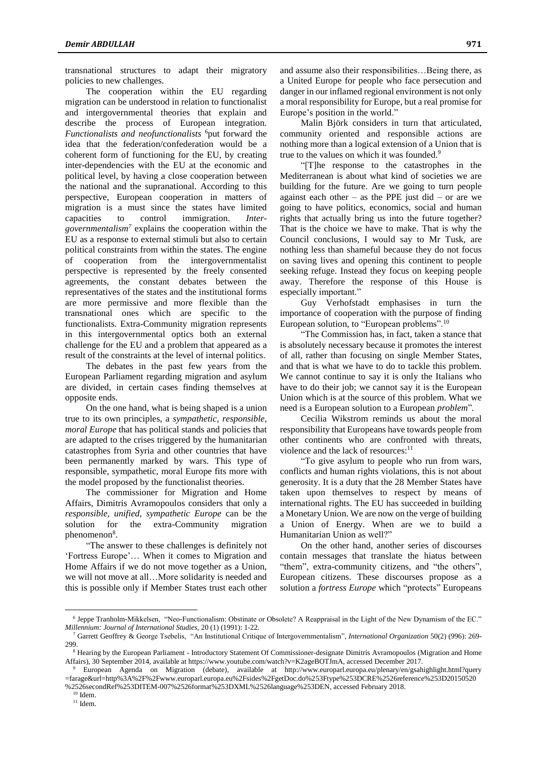transnational structures to adapt their migratory policies to new challenges.

The cooperation within the EU regarding migration can be understood in relation to functionalist and intergovernmental theories that explain and describe the process of European integration. *Functionalists and neofunctionalists* <sup>6</sup>put forward the idea that the federation/confederation would be a coherent form of functioning for the EU, by creating inter-dependencies with the EU at the economic and political level, by having a close cooperation between the national and the supranational. According to this perspective, European cooperation in matters of migration is a must since the states have limited capacities to control immigration. *Intergovernmentalism<sup>7</sup>* explains the cooperation within the EU as a response to external stimuli but also to certain political constraints from within the states. The engine of cooperation from the intergovernmentalist perspective is represented by the freely consented agreements, the constant debates between the representatives of the states and the institutional forms are more permissive and more flexible than the transnational ones which are specific to the functionalists. Extra-Community migration represents in this intergovernmental optics both an external challenge for the EU and a problem that appeared as a result of the constraints at the level of internal politics.

The debates in the past few years from the European Parliament regarding migration and asylum are divided, in certain cases finding themselves at opposite ends.

On the one hand, what is being shaped is a union true to its own principles, a *sympathetic, responsible, moral Europe* that has political stands and policies that are adapted to the crises triggered by the humanitarian catastrophes from Syria and other countries that have been permanently marked by wars. This type of responsible, sympathetic, moral Europe fits more with the model proposed by the functionalist theories.

The commissioner for Migration and Home Affairs, Dimitris Avramopoulos considers that only a *responsible, unified, sympathetic Europe* can be the solution for the extra-Community migration phenomenon<sup>8</sup>.

"The answer to these challenges is definitely not 'Fortress Europe'… When it comes to Migration and Home Affairs if we do not move together as a Union, we will not move at all…More solidarity is needed and this is possible only if Member States trust each other and assume also their responsibilities…Being there, as a United Europe for people who face persecution and danger in our inflamed regional environment is not only a moral responsibility for Europe, but a real promise for Europe's position in the world."

Malin Björk considers in turn that articulated, community oriented and responsible actions are nothing more than a logical extension of a Union that is true to the values on which it was founded.<sup>9</sup>

"[T]he response to the catastrophes in the Mediterranean is about what kind of societies we are building for the future. Are we going to turn people against each other – as the PPE just did – or are we going to have politics, economics, social and human rights that actually bring us into the future together? That is the choice we have to make. That is why the Council conclusions, I would say to Mr Tusk, are nothing less than shameful because they do not focus on saving lives and opening this continent to people seeking refuge. Instead they focus on keeping people away. Therefore the response of this House is especially important."

Guy Verhofstadt emphasises in turn the importance of cooperation with the purpose of finding European solution, to "European problems".<sup>10</sup>

"The Commission has, in fact, taken a stance that is absolutely necessary because it promotes the interest of all, rather than focusing on single Member States, and that is what we have to do to tackle this problem. We cannot continue to say it is only the Italians who have to do their job; we cannot say it is the European Union which is at the source of this problem. What we need is a European solution to a European *problem*"*.*

Cecilia Wikstrom reminds us about the moral responsibility that Europeans have towards people from other continents who are confronted with threats, violence and the lack of resources:<sup>11</sup>

"To give asylum to people who run from wars, conflicts and human rights violations, this is not about generosity. It is a duty that the 28 Member States have taken upon themselves to respect by means of international rights. The EU has succeeded in building a Monetary Union. We are now on the verge of building a Union of Energy. When are we to build a Humanitarian Union as well?"

On the other hand, another series of discourses contain messages that translate the hiatus between "them", extra-community citizens, and "the others", European citizens. These discourses propose as a solution a *fortress Europe* which "protects" Europeans

 $\overline{a}$ 

<sup>6</sup> Jeppe Tranholm-Mikkelsen, "Neo-Functionalism: Obstinate or Obsolete? A Reappraisal in the Light of the New Dynamism of the EC." *Millennium: Journal of International Studies,* 20 (1) (1991): 1-22.

<sup>7</sup> Garrett Geoffrey & George Tsebelis, "An Institutional Critique of Intergovernmentalism", *International Organization* 50(2) (996): 269- 299.

<sup>&</sup>lt;sup>8</sup> Hearing by the European Parliament - Introductory Statement Of Commissioner-designate Dimitris Avramopoulos (Migration and Home Affairs), 30 September 2014, available at https://www.youtube.com/watch?v=K2ageBOTJmA, accessed December 2017.

<sup>9</sup> European Agenda on Migration (debate), available at http://www.europarl.europa.eu/plenary/en/gsahighlight.html?query =farage&url=http%3A%2F%2Fwww.europarl.europa.eu%2Fsides%2FgetDoc.do%253Ftype%253DCRE%2526reference%253D20150520 %2526secondRef%253DITEM-007%2526format%253DXML%2526language%253DEN, accessed February 2018.

 $10$  Idem.

 $11$  Idem.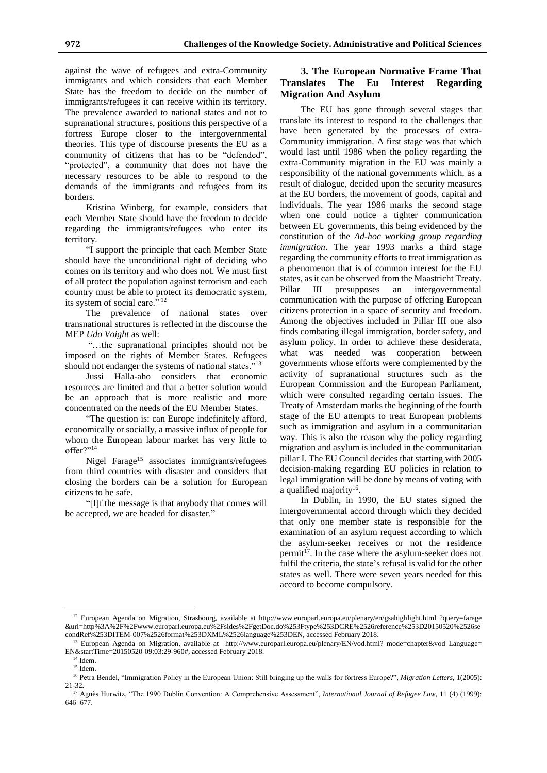against the wave of refugees and extra-Community immigrants and which considers that each Member State has the freedom to decide on the number of immigrants/refugees it can receive within its territory. The prevalence awarded to national states and not to supranational structures, positions this perspective of a fortress Europe closer to the intergovernmental theories. This type of discourse presents the EU as a community of citizens that has to be "defended", "protected", a community that does not have the necessary resources to be able to respond to the demands of the immigrants and refugees from its borders.

Kristina Winberg, for example, considers that each Member State should have the freedom to decide regarding the immigrants/refugees who enter its territory.

"I support the principle that each Member State should have the unconditional right of deciding who comes on its territory and who does not. We must first of all protect the population against terrorism and each country must be able to protect its democratic system, its system of social care."<sup>12</sup>

The prevalence of national states over transnational structures is reflected in the discourse the MEP *Udo Voight* as well:

"…the supranational principles should not be imposed on the rights of Member States. Refugees should not endanger the systems of national states."<sup>13</sup>

Jussi Halla-aho considers that economic resources are limited and that a better solution would be an approach that is more realistic and more concentrated on the needs of the EU Member States.

"The question is: can Europe indefinitely afford, economically or socially, a massive influx of people for whom the European labour market has very little to offer?"<sup>14</sup>

Nigel Farage<sup>15</sup> associates immigrants/refugees from third countries with disaster and considers that closing the borders can be a solution for European citizens to be safe.

"[I]f the message is that anybody that comes will be accepted, we are headed for disaster."

### **3. The European Normative Frame That Translates The Eu Interest Regarding Migration And Asylum**

The EU has gone through several stages that translate its interest to respond to the challenges that have been generated by the processes of extra-Community immigration. A first stage was that which would last until 1986 when the policy regarding the extra-Community migration in the EU was mainly a responsibility of the national governments which, as a result of dialogue, decided upon the security measures at the EU borders, the movement of goods, capital and individuals. The year 1986 marks the second stage when one could notice a tighter communication between EU governments, this being evidenced by the constitution of the *Ad-hoc working group regarding immigration*. The year 1993 marks a third stage regarding the community efforts to treat immigration as a phenomenon that is of common interest for the EU states, as it can be observed from the Maastricht Treaty. Pillar III presupposes an intergovernmental communication with the purpose of offering European citizens protection in a space of security and freedom. Among the objectives included in Pillar III one also finds combating illegal immigration, border safety, and asylum policy. In order to achieve these desiderata, what was needed was cooperation between governments whose efforts were complemented by the activity of supranational structures such as the European Commission and the European Parliament, which were consulted regarding certain issues. The Treaty of Amsterdam marks the beginning of the fourth stage of the EU attempts to treat European problems such as immigration and asylum in a communitarian way. This is also the reason why the policy regarding migration and asylum is included in the communitarian pillar I. The EU Council decides that starting with 2005 decision-making regarding EU policies in relation to legal immigration will be done by means of voting with a qualified majority<sup>16</sup>.

In Dublin, in 1990, the EU states signed the intergovernmental accord through which they decided that only one member state is responsible for the examination of an asylum request according to which the asylum-seeker receives or not the residence permit<sup>17</sup>. In the case where the asylum-seeker does not fulfil the criteria, the state's refusal is valid for the other states as well. There were seven years needed for this accord to become compulsory.

 $\overline{a}$ 

<sup>&</sup>lt;sup>12</sup> European Agenda on Migration, Strasbourg, available at http://www.europarl.europa.eu/plenary/en/gsahighlight.html ?query=farage &url=http%3A%2F%2Fwww.europarl.europa.eu%2Fsides%2FgetDoc.do%253Ftype%253DCRE%2526reference%253D20150520%2526se condRef%253DITEM-007%2526format%253DXML%2526language%253DEN, accessed February 2018.

<sup>&</sup>lt;sup>13</sup> European Agenda on Migration, available at http://www.europarl.europa.eu/plenary/EN/vod.html? mode=chapter&vod Language= EN&startTime=20150520-09:03:29-960#, accessed February 2018.

<sup>14</sup> Idem.

<sup>&</sup>lt;sup>15</sup> Idem.

<sup>16</sup> Petra Bendel, "Immigration Policy in the European Union: Still bringing up the walls for fortress Europe?", *[Migration Letters](https://www.ceeol.com/search/journal-detail?id=1513)*, 1(2005): 21-32.

<sup>&</sup>lt;sup>17</sup> [Agnès Hurwitz,](javascript:;) "The 1990 Dublin Convention: A Comprehensive Assessment", *International Journal of Refugee Law*, 11 (4) (1999): 646–677.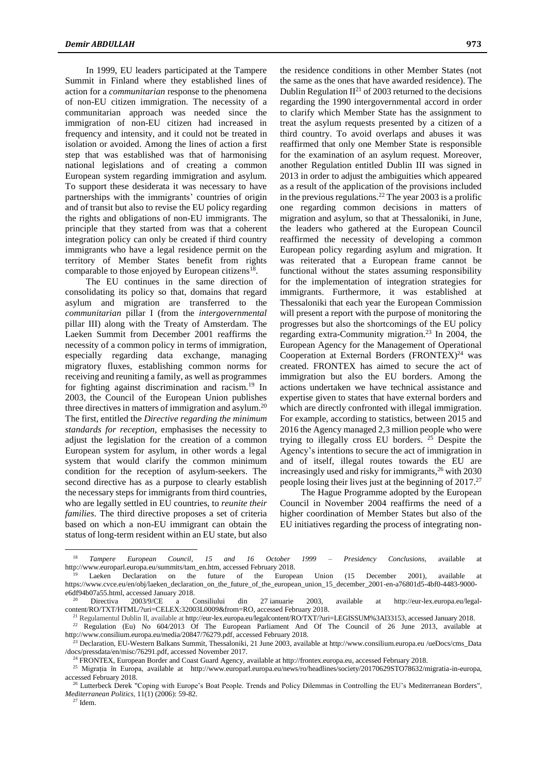In 1999, EU leaders participated at the Tampere Summit in Finland where they established lines of action for a *communitarian* response to the phenomena of non-EU citizen immigration. The necessity of a communitarian approach was needed since the immigration of non-EU citizen had increased in frequency and intensity, and it could not be treated in isolation or avoided. Among the lines of action a first step that was established was that of harmonising national legislations and of creating a common European system regarding immigration and asylum. To support these desiderata it was necessary to have partnerships with the immigrants' countries of origin and of transit but also to revise the EU policy regarding the rights and obligations of non-EU immigrants. The principle that they started from was that a coherent integration policy can only be created if third country immigrants who have a legal residence permit on the territory of Member States benefit from rights comparable to those enjoyed by European citizens<sup>18</sup>.

The EU continues in the same direction of consolidating its policy so that, domains that regard asylum and migration are transferred to the *communitarian* pillar I (from the *intergovernmental* pillar III) along with the Treaty of Amsterdam. The Laeken Summit from December 2001 reaffirms the necessity of a common policy in terms of immigration, especially regarding data exchange, managing migratory fluxes, establishing common norms for receiving and reuniting a family, as well as programmes for fighting against discrimination and racism.<sup>19</sup> In 2003, the Council of the European Union publishes three directives in matters of immigration and asylum.<sup>20</sup> The first, entitled the *Directive regarding the minimum standards for reception*, emphasises the necessity to adjust the legislation for the creation of a common European system for asylum, in other words a legal system that would clarify the common minimum condition for the reception of asylum-seekers. The second directive has as a purpose to clearly establish the necessary steps for immigrants from third countries, who are legally settled in EU countries, to *reunite their families*. The third directive proposes a set of criteria based on which a non-EU immigrant can obtain the status of long-term resident within an EU state, but also

the residence conditions in other Member States (not the same as the ones that have awarded residence). The Dublin Regulation  $II^{21}$  of 2003 returned to the decisions regarding the 1990 intergovernmental accord in order to clarify which Member State has the assignment to treat the asylum requests presented by a citizen of a third country. To avoid overlaps and abuses it was reaffirmed that only one Member State is responsible for the examination of an asylum request. Moreover, another Regulation entitled Dublin III was signed in 2013 in order to adjust the ambiguities which appeared as a result of the application of the provisions included in the previous regulations.<sup>22</sup> The year 2003 is a prolific one regarding common decisions in matters of migration and asylum, so that at Thessaloniki, in June, the leaders who gathered at the European Council reaffirmed the necessity of developing a common European policy regarding asylum and migration. It was reiterated that a European frame cannot be functional without the states assuming responsibility for the implementation of integration strategies for immigrants. Furthermore, it was established at Thessaloniki that each year the European Commission will present a report with the purpose of monitoring the progresses but also the shortcomings of the EU policy regarding extra-Community migration.<sup>23</sup> In 2004, the European Agency for the Management of Operational Cooperation at External Borders  $(FRONTEX)^{24}$  was created. FRONTEX has aimed to secure the act of immigration but also the EU borders. Among the actions undertaken we have technical assistance and expertise given to states that have external borders and which are directly confronted with illegal immigration. For example, according to statistics, between 2015 and 2016 the Agency managed 2,3 million people who were trying to illegally cross EU borders.  $25$  Despite the Agency's intentions to secure the act of immigration in and of itself, illegal routes towards the EU are increasingly used and risky for immigrants, <sup>26</sup> with 2030 people losing their lives just at the beginning of  $2017<sup>27</sup>$ 

The Hague Programme adopted by the European Council in November 2004 reaffirms the need of a higher coordination of Member States but also of the EU initiatives regarding the process of integrating non-

 $\overline{a}$ 

<sup>18</sup> *Tampere European Council, 15 and 16 October 1999 – Presidency Conclusions,* available at http://www.europarl.europa.eu/summits/tam\_en.htm, accessed February 2018.

Laeken Declaration on the future of the European Union (15 December 2001), available at https://www.cvce.eu/en/obj/laeken\_declaration\_on\_the\_future\_of\_the\_european\_union\_15\_december\_2001-en-a76801d5-4bf0-4483-9000 e6df94b07a55.html, accessed January 2018.

<sup>20</sup> Directiva 2003/9/CE a Consiliului din 27 ianuarie 2003, available at http://eur-lex.europa.eu/legalcontent/RO/TXT/HTML/?uri=CELEX:32003L0009&from=RO, accessed February 2018.

<sup>21</sup> Regulamentul Dublin II, available at http://eur-lex.europa.eu/legalcontent/RO/TXT/?uri=LEGISSUM%3Al33153, accessed January 2018.

<sup>&</sup>lt;sup>22</sup> Regulation (Eu) No 604/2013 Of The European Parliament And Of The Council of 26 June 2013, available at http://www.consilium.europa.eu/media/20847/76279.pdf, accessed February 2018.

<sup>23</sup> Declaration, EU-Western Balkans Summit, Thessaloniki, 21 June 2003, available at http://www.consilium.europa.eu /ueDocs/cms\_Data /docs/pressdata/en/misc/76291.pdf, accessed November 2017.

<sup>24</sup> FRONTEX, European Border and Coast Guard Agency, available at http://frontex.europa.eu, accessed February 2018.

<sup>&</sup>lt;sup>25</sup> Migrația în Europa, available at http://www.europarl.europa.eu/news/ro/headlines/society/20170629STO78632/migratia-in-europa, accessed February 2018.

<sup>&</sup>lt;sup>5</sup> Lutterbeck Derek "Coping with Europe's Boat People. Trends and Policy Dilemmas in Controlling the EU's Mediterranean Borders", *Mediterranean Politics*, 11(1) (2006): 59-82.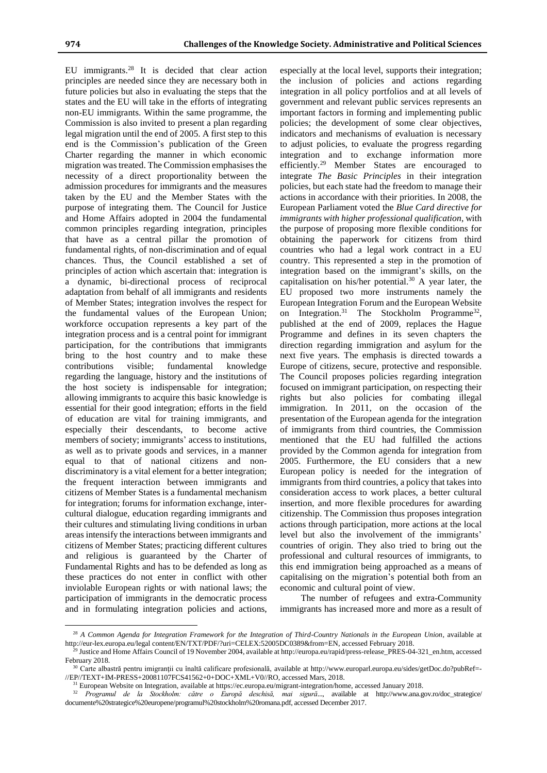$\overline{a}$ 

EU immigrants.<sup>28</sup> It is decided that clear action principles are needed since they are necessary both in future policies but also in evaluating the steps that the states and the EU will take in the efforts of integrating non-EU immigrants. Within the same programme, the Commission is also invited to present a plan regarding legal migration until the end of 2005. A first step to this end is the Commission's publication of the Green Charter regarding the manner in which economic migration was treated. The Commission emphasises the necessity of a direct proportionality between the admission procedures for immigrants and the measures taken by the EU and the Member States with the purpose of integrating them. The Council for Justice and Home Affairs adopted in 2004 the fundamental common principles regarding integration, principles that have as a central pillar the promotion of fundamental rights, of non-discrimination and of equal chances. Thus, the Council established a set of principles of action which ascertain that: integration is a dynamic, bi-directional process of reciprocal adaptation from behalf of all immigrants and residents of Member States; integration involves the respect for the fundamental values of the European Union; workforce occupation represents a key part of the integration process and is a central point for immigrant participation, for the contributions that immigrants bring to the host country and to make these contributions visible; fundamental knowledge regarding the language, history and the institutions of the host society is indispensable for integration; allowing immigrants to acquire this basic knowledge is essential for their good integration; efforts in the field of education are vital for training immigrants, and especially their descendants, to become active members of society; immigrants' access to institutions, as well as to private goods and services, in a manner equal to that of national citizens and nondiscriminatory is a vital element for a better integration; the frequent interaction between immigrants and citizens of Member States is a fundamental mechanism for integration; forums for information exchange, intercultural dialogue, education regarding immigrants and their cultures and stimulating living conditions in urban areas intensify the interactions between immigrants and citizens of Member States; practicing different cultures and religious is guaranteed by the Charter of Fundamental Rights and has to be defended as long as these practices do not enter in conflict with other inviolable European rights or with national laws; the participation of immigrants in the democratic process and in formulating integration policies and actions,

especially at the local level, supports their integration; the inclusion of policies and actions regarding integration in all policy portfolios and at all levels of government and relevant public services represents an important factors in forming and implementing public policies; the development of some clear objectives, indicators and mechanisms of evaluation is necessary to adjust policies, to evaluate the progress regarding integration and to exchange information more efficiently.<sup>29</sup> Member States are encouraged to integrate *The Basic Principles* in their integration policies, but each state had the freedom to manage their actions in accordance with their priorities. In 2008, the European Parliament voted the *Blue Card directive for immigrants with higher professional qualification*, with the purpose of proposing more flexible conditions for obtaining the paperwork for citizens from third countries who had a legal work contract in a EU country. This represented a step in the promotion of integration based on the immigrant's skills, on the capitalisation on his/her potential. $30$  A year later, the EU proposed two more instruments namely the European Integration Forum and the European Website on Integration.<sup>31</sup> The Stockholm Programme<sup>32</sup>, published at the end of 2009, replaces the Hague Programme and defines in its seven chapters the direction regarding immigration and asylum for the next five years. The emphasis is directed towards a Europe of citizens, secure, protective and responsible. The Council proposes policies regarding integration focused on immigrant participation, on respecting their rights but also policies for combating illegal immigration. In 2011, on the occasion of the presentation of the European agenda for the integration of immigrants from third countries, the Commission mentioned that the EU had fulfilled the actions provided by the Common agenda for integration from 2005. Furthermore, the EU considers that a new European policy is needed for the integration of immigrants from third countries, a policy that takes into consideration access to work places, a better cultural insertion, and more flexible procedures for awarding citizenship. The Commission thus proposes integration actions through participation, more actions at the local level but also the involvement of the immigrants' countries of origin. They also tried to bring out the professional and cultural resources of immigrants, to this end immigration being approached as a means of capitalising on the migration's potential both from an economic and cultural point of view.

The number of refugees and extra-Community immigrants has increased more and more as a result of

<sup>28</sup> *A Common Agenda for Integration Framework for the Integration of Third-Country Nationals in the European Union*, available at http://eur-lex.europa.eu/legal content/EN/TXT/PDF/?uri=CELEX:52005DC0389&from=EN, accessed February 2018.

<sup>&</sup>lt;sup>29</sup> Justice and Home Affairs Council of 19 November 2004, available at http://europa.eu/rapid/press-release\_PRES-04-321\_en.htm, accessed February 2018.

<sup>&</sup>lt;sup>30</sup> Carte albastră pentru imigranții cu înaltă calificare profesională, available at http://www.europarl.europa.eu/sides/getDoc.do?pubRef=-//EP//TEXT+IM-PRESS+20081107FCS41562+0+DOC+XML+V0//RO, accessed Mars, 2018.

<sup>31</sup> European Website on Integration, available at https://ec.europa.eu/migrant-integration/home, accessed January 2018.

<sup>32</sup> *Programul de la Stockholm: către o Europă deschisă, mai sigură*..., available at http://www.ana.gov.ro/doc\_strategice/ documente%20strategice%20europene/programul%20stockholm%20romana.pdf, accessed December 2017.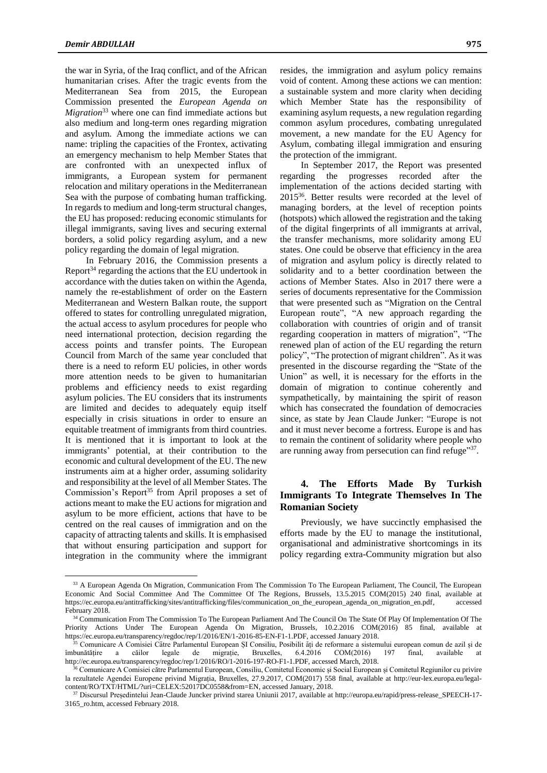the war in Syria, of the Iraq conflict, and of the African humanitarian crises. After the tragic events from the Mediterranean Sea from 2015, the European Commission presented the *European Agenda on Migration*<sup>33</sup> where one can find immediate actions but also medium and long-term ones regarding migration and asylum. Among the immediate actions we can name: tripling the capacities of the Frontex, activating an emergency mechanism to help Member States that are confronted with an unexpected influx of immigrants, a European system for permanent relocation and military operations in the Mediterranean Sea with the purpose of combating human trafficking. In regards to medium and long-term structural changes, the EU has proposed: reducing economic stimulants for illegal immigrants, saving lives and securing external borders, a solid policy regarding asylum, and a new policy regarding the domain of legal migration.

In February 2016, the Commission presents a Report<sup>34</sup> regarding the actions that the EU undertook in accordance with the duties taken on within the Agenda, namely the re-establishment of order on the Eastern Mediterranean and Western Balkan route, the support offered to states for controlling unregulated migration, the actual access to asylum procedures for people who need international protection, decision regarding the access points and transfer points. The European Council from March of the same year concluded that there is a need to reform EU policies, in other words more attention needs to be given to humanitarian problems and efficiency needs to exist regarding asylum policies. The EU considers that its instruments are limited and decides to adequately equip itself especially in crisis situations in order to ensure an equitable treatment of immigrants from third countries. It is mentioned that it is important to look at the immigrants' potential, at their contribution to the economic and cultural development of the EU. The new instruments aim at a higher order, assuming solidarity and responsibility at the level of all Member States. The Commission's Report<sup>35</sup> from April proposes a set of actions meant to make the EU actions for migration and asylum to be more efficient, actions that have to be centred on the real causes of immigration and on the capacity of attracting talents and skills. It is emphasised that without ensuring participation and support for integration in the community where the immigrant

 $\overline{a}$ 

resides, the immigration and asylum policy remains void of content. Among these actions we can mention: a sustainable system and more clarity when deciding which Member State has the responsibility of examining asylum requests, a new regulation regarding common asylum procedures, combating unregulated movement, a new mandate for the EU Agency for Asylum, combating illegal immigration and ensuring the protection of the immigrant.

In September 2017, the Report was presented regarding the progresses recorded after the implementation of the actions decided starting with 2015<sup>36</sup> . Better results were recorded at the level of managing borders, at the level of reception points (hotspots) which allowed the registration and the taking of the digital fingerprints of all immigrants at arrival, the transfer mechanisms, more solidarity among EU states. One could be observe that efficiency in the area of migration and asylum policy is directly related to solidarity and to a better coordination between the actions of Member States. Also in 2017 there were a series of documents representative for the Commission that were presented such as "Migration on the Central European route", "A new approach regarding the collaboration with countries of origin and of transit regarding cooperation in matters of migration", "The renewed plan of action of the EU regarding the return policy", "The protection of migrant children". As it was presented in the discourse regarding the "State of the Union" as well, it is necessary for the efforts in the domain of migration to continue coherently and sympathetically, by maintaining the spirit of reason which has consecrated the foundation of democracies since, as state by Jean Claude Junker: "Europe is not and it must never become a fortress. Europe is and has to remain the continent of solidarity where people who are running away from persecution can find refuge"37.

## **4. The Efforts Made By Turkish Immigrants To Integrate Themselves In The Romanian Society**

Previously, we have succinctly emphasised the efforts made by the EU to manage the institutional, organisational and administrative shortcomings in its policy regarding extra-Community migration but also

<sup>&</sup>lt;sup>33</sup> A European Agenda On Migration, Communication From The Commission To The European Parliament, The Council, The European Economic And Social Committee And The Committee Of The Regions, Brussels, 13.5.2015 COM(2015) 240 final, available at https://ec.europa.eu/antitrafficking/sites/antitrafficking/files/communication\_on\_the\_european\_agenda\_on\_migration\_en.pdf, accessed February 2018.

<sup>&</sup>lt;sup>34</sup> Communication From The Commission To The European Parliament And The Council On The State Of Play Of Implementation Of The Priority Actions Under The European Agenda On Migration, Brussels, 10.2.2016 COM(2016) 85 final, available at https://ec.europa.eu/transparency/regdoc/rep/1/2016/EN/1-2016-85-EN-F1-1.PDF, accessed January 2018.

<sup>35</sup> Comunicare A Comisiei Către Parlamentul European ȘI Consiliu, Posibilit ăți de reformare a sistemului european comun de azil și de îmbunătățire a căilor legale de migrație, Bruxelles, 6.4.2016 COM(2016) 197 final, available at http://ec.europa.eu/transparency/regdoc/rep/1/2016/RO/1-2016-197-RO-F1-1.PDF, accessed March, 2018.

<sup>36</sup> Comunicare A Comisiei către Parlamentul European, Consiliu, Comitetul Economic și Social European și Comitetul Regiunilor cu privire la rezultatele Agendei Europene privind Migrația, Bruxelles, 27.9.2017, COM(2017) 558 final, available at http://eur-lex.europa.eu/legalcontent/RO/TXT/HTML/?uri=CELEX:52017DC0558&from=EN, accessed January, 2018.

<sup>37</sup> Discursul Președintelui Jean-Claude Juncker privind starea Uniunii 2017, available at http://europa.eu/rapid/press-release\_SPEECH-17- 3165\_ro.htm, accessed February 2018.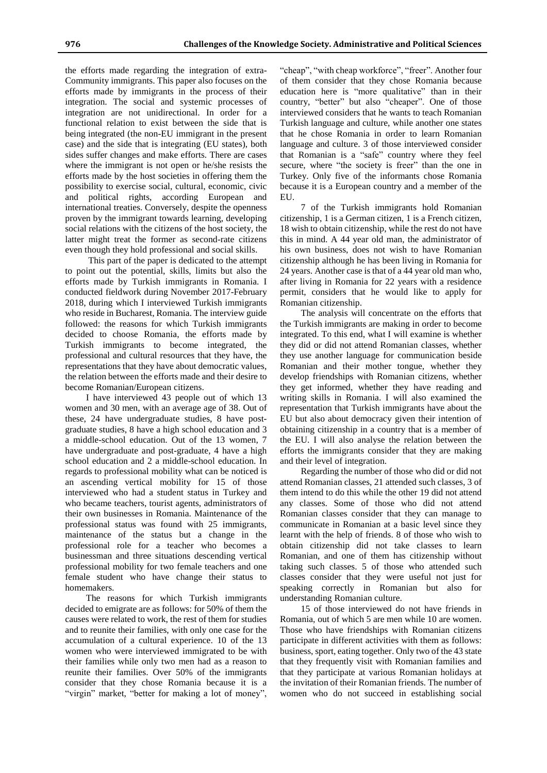the efforts made regarding the integration of extra-Community immigrants. This paper also focuses on the efforts made by immigrants in the process of their integration. The social and systemic processes of integration are not unidirectional. In order for a functional relation to exist between the side that is being integrated (the non-EU immigrant in the present case) and the side that is integrating (EU states), both sides suffer changes and make efforts. There are cases where the immigrant is not open or he/she resists the efforts made by the host societies in offering them the possibility to exercise social, cultural, economic, civic and political rights, according European and international treaties. Conversely, despite the openness proven by the immigrant towards learning, developing social relations with the citizens of the host society, the latter might treat the former as second-rate citizens even though they hold professional and social skills.

This part of the paper is dedicated to the attempt to point out the potential, skills, limits but also the efforts made by Turkish immigrants in Romania. I conducted fieldwork during November 2017-February 2018, during which I interviewed Turkish immigrants who reside in Bucharest, Romania. The interview guide followed: the reasons for which Turkish immigrants decided to choose Romania, the efforts made by Turkish immigrants to become integrated, the professional and cultural resources that they have, the representations that they have about democratic values, the relation between the efforts made and their desire to become Romanian/European citizens.

I have interviewed 43 people out of which 13 women and 30 men, with an average age of 38. Out of these, 24 have undergraduate studies, 8 have postgraduate studies, 8 have a high school education and 3 a middle-school education. Out of the 13 women, 7 have undergraduate and post-graduate, 4 have a high school education and 2 a middle-school education. In regards to professional mobility what can be noticed is an ascending vertical mobility for 15 of those interviewed who had a student status in Turkey and who became teachers, tourist agents, administrators of their own businesses in Romania. Maintenance of the professional status was found with 25 immigrants, maintenance of the status but a change in the professional role for a teacher who becomes a businessman and three situations descending vertical professional mobility for two female teachers and one female student who have change their status to homemakers.

The reasons for which Turkish immigrants decided to emigrate are as follows: for 50% of them the causes were related to work, the rest of them for studies and to reunite their families, with only one case for the accumulation of a cultural experience. 10 of the 13 women who were interviewed immigrated to be with their families while only two men had as a reason to reunite their families. Over 50% of the immigrants consider that they chose Romania because it is a "virgin" market, "better for making a lot of money",

"cheap", "with cheap workforce", "freer". Another four of them consider that they chose Romania because education here is "more qualitative" than in their country, "better" but also "cheaper". One of those interviewed considers that he wants to teach Romanian Turkish language and culture, while another one states that he chose Romania in order to learn Romanian language and culture. 3 of those interviewed consider that Romanian is a "safe" country where they feel secure, where "the society is freer" than the one in Turkey. Only five of the informants chose Romania because it is a European country and a member of the EU.

7 of the Turkish immigrants hold Romanian citizenship, 1 is a German citizen, 1 is a French citizen, 18 wish to obtain citizenship, while the rest do not have this in mind. A 44 year old man, the administrator of his own business, does not wish to have Romanian citizenship although he has been living in Romania for 24 years. Another case is that of a 44 year old man who, after living in Romania for 22 years with a residence permit, considers that he would like to apply for Romanian citizenship.

The analysis will concentrate on the efforts that the Turkish immigrants are making in order to become integrated. To this end, what I will examine is whether they did or did not attend Romanian classes, whether they use another language for communication beside Romanian and their mother tongue, whether they develop friendships with Romanian citizens, whether they get informed, whether they have reading and writing skills in Romania. I will also examined the representation that Turkish immigrants have about the EU but also about democracy given their intention of obtaining citizenship in a country that is a member of the EU. I will also analyse the relation between the efforts the immigrants consider that they are making and their level of integration.

Regarding the number of those who did or did not attend Romanian classes, 21 attended such classes, 3 of them intend to do this while the other 19 did not attend any classes. Some of those who did not attend Romanian classes consider that they can manage to communicate in Romanian at a basic level since they learnt with the help of friends. 8 of those who wish to obtain citizenship did not take classes to learn Romanian, and one of them has citizenship without taking such classes. 5 of those who attended such classes consider that they were useful not just for speaking correctly in Romanian but also for understanding Romanian culture.

15 of those interviewed do not have friends in Romania, out of which 5 are men while 10 are women. Those who have friendships with Romanian citizens participate in different activities with them as follows: business, sport, eating together. Only two of the 43 state that they frequently visit with Romanian families and that they participate at various Romanian holidays at the invitation of their Romanian friends. The number of women who do not succeed in establishing social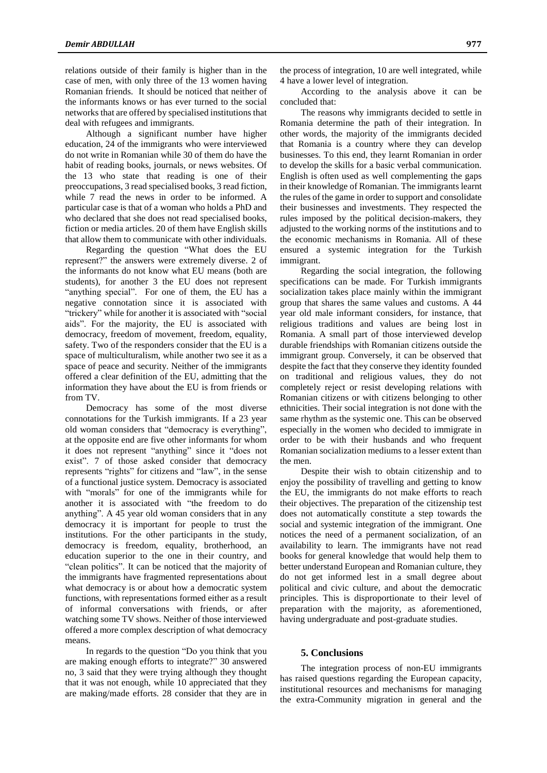relations outside of their family is higher than in the case of men, with only three of the 13 women having Romanian friends. It should be noticed that neither of the informants knows or has ever turned to the social networks that are offered by specialised institutions that deal with refugees and immigrants.

Although a significant number have higher education, 24 of the immigrants who were interviewed do not write in Romanian while 30 of them do have the habit of reading books, journals, or news websites. Of the 13 who state that reading is one of their preoccupations, 3 read specialised books, 3 read fiction, while 7 read the news in order to be informed. A particular case is that of a woman who holds a PhD and who declared that she does not read specialised books, fiction or media articles. 20 of them have English skills that allow them to communicate with other individuals.

Regarding the question "What does the EU represent?" the answers were extremely diverse. 2 of the informants do not know what EU means (both are students), for another 3 the EU does not represent "anything special". For one of them, the EU has a negative connotation since it is associated with "trickery" while for another it is associated with "social aids". For the majority, the EU is associated with democracy, freedom of movement, freedom, equality, safety. Two of the responders consider that the EU is a space of multiculturalism, while another two see it as a space of peace and security. Neither of the immigrants offered a clear definition of the EU, admitting that the information they have about the EU is from friends or from TV.

Democracy has some of the most diverse connotations for the Turkish immigrants. If a 23 year old woman considers that "democracy is everything", at the opposite end are five other informants for whom it does not represent "anything" since it "does not exist". 7 of those asked consider that democracy represents "rights" for citizens and "law", in the sense of a functional justice system. Democracy is associated with "morals" for one of the immigrants while for another it is associated with "the freedom to do anything". A 45 year old woman considers that in any democracy it is important for people to trust the institutions. For the other participants in the study, democracy is freedom, equality, brotherhood, an education superior to the one in their country, and "clean politics". It can be noticed that the majority of the immigrants have fragmented representations about what democracy is or about how a democratic system functions, with representations formed either as a result of informal conversations with friends, or after watching some TV shows. Neither of those interviewed offered a more complex description of what democracy means.

In regards to the question "Do you think that you are making enough efforts to integrate?" 30 answered no, 3 said that they were trying although they thought that it was not enough, while 10 appreciated that they are making/made efforts. 28 consider that they are in

the process of integration, 10 are well integrated, while 4 have a lower level of integration.

According to the analysis above it can be concluded that:

The reasons why immigrants decided to settle in Romania determine the path of their integration. In other words, the majority of the immigrants decided that Romania is a country where they can develop businesses. To this end, they learnt Romanian in order to develop the skills for a basic verbal communication. English is often used as well complementing the gaps in their knowledge of Romanian. The immigrants learnt the rules of the game in order to support and consolidate their businesses and investments. They respected the rules imposed by the political decision-makers, they adjusted to the working norms of the institutions and to the economic mechanisms in Romania. All of these ensured a systemic integration for the Turkish immigrant.

Regarding the social integration, the following specifications can be made. For Turkish immigrants socialization takes place mainly within the immigrant group that shares the same values and customs. A 44 year old male informant considers, for instance, that religious traditions and values are being lost in Romania. A small part of those interviewed develop durable friendships with Romanian citizens outside the immigrant group. Conversely, it can be observed that despite the fact that they conserve they identity founded on traditional and religious values, they do not completely reject or resist developing relations with Romanian citizens or with citizens belonging to other ethnicities. Their social integration is not done with the same rhythm as the systemic one. This can be observed especially in the women who decided to immigrate in order to be with their husbands and who frequent Romanian socialization mediums to a lesser extent than the men.

Despite their wish to obtain citizenship and to enjoy the possibility of travelling and getting to know the EU, the immigrants do not make efforts to reach their objectives. The preparation of the citizenship test does not automatically constitute a step towards the social and systemic integration of the immigrant. One notices the need of a permanent socialization, of an availability to learn. The immigrants have not read books for general knowledge that would help them to better understand European and Romanian culture, they do not get informed lest in a small degree about political and civic culture, and about the democratic principles. This is disproportionate to their level of preparation with the majority, as aforementioned, having undergraduate and post-graduate studies.

#### **5. Conclusions**

The integration process of non-EU immigrants has raised questions regarding the European capacity, institutional resources and mechanisms for managing the extra-Community migration in general and the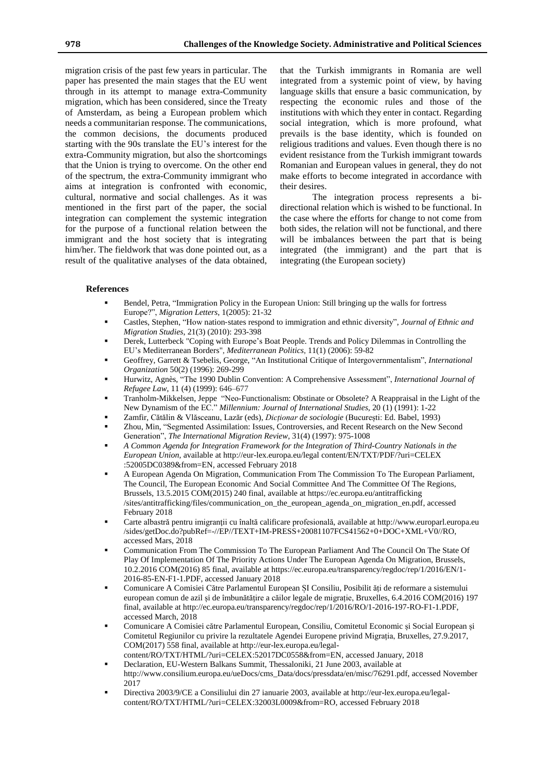migration crisis of the past few years in particular. The paper has presented the main stages that the EU went through in its attempt to manage extra-Community migration, which has been considered, since the Treaty of Amsterdam, as being a European problem which needs a communitarian response. The communications, the common decisions, the documents produced starting with the 90s translate the EU's interest for the extra-Community migration, but also the shortcomings that the Union is trying to overcome. On the other end of the spectrum, the extra-Community immigrant who aims at integration is confronted with economic, cultural, normative and social challenges. As it was mentioned in the first part of the paper, the social integration can complement the systemic integration for the purpose of a functional relation between the immigrant and the host society that is integrating him/her. The fieldwork that was done pointed out, as a result of the qualitative analyses of the data obtained,

that the Turkish immigrants in Romania are well integrated from a systemic point of view, by having language skills that ensure a basic communication, by respecting the economic rules and those of the institutions with which they enter in contact. Regarding social integration, which is more profound, what prevails is the base identity, which is founded on religious traditions and values. Even though there is no evident resistance from the Turkish immigrant towards Romanian and European values in general, they do not make efforts to become integrated in accordance with their desires.

The integration process represents a bidirectional relation which is wished to be functional. In the case where the efforts for change to not come from both sides, the relation will not be functional, and there will be imbalances between the part that is being integrated (the immigrant) and the part that is integrating (the European society)

### **References**

- Bendel, Petra, "Immigration Policy in the European Union: Still bringing up the walls for fortress Europe?", *[Migration](https://www.ceeol.com/search/journal-detail?id=1513) Letters*, 1(2005): 21-32
- Castles, [Stephen,](http://www.tandfonline.com/author/Castles%2C+Stephen) "How nation‐states respond to [immigration](http://www.tandfonline.com/author/Castles%2C+Stephen) and ethnic diversity", *Journal of Ethnic and [Migration](http://www.tandfonline.com/author/Castles%2C+Stephen) Studies*, 21(3) (2010): 293-398
- Derek, Lutterbeck "Coping with Europe's Boat People. Trends and Policy Dilemmas in Controlling the EU's Mediterranean Borders", *Mediterranean Politics*, 11(1) (2006): 59-82
- Geoffrey, Garrett & Tsebelis, George, "An Institutional Critique of Intergovernmentalism", *International Organization* 50(2) (1996): 269-299
- Hurwitz, [Agnès,](javascript:;) "The 1990 Dublin Convention: A Comprehensive Assessment", *International Journal of Refugee Law*, 11 (4) (1999): 646–677
- Tranholm-Mikkelsen, Jeppe "Neo-Functionalism: Obstinate or Obsolete? A Reappraisal in the Light of the New Dynamism of the EC." *Millennium: Journal of International Studies,* 20 (1) (1991): 1-22
- Zamfir, Cătălin & Vlăsceanu, Lazăr (eds), *Dicționar de sociologie* (București: Ed. Babel, 1993)
- Zhou, Min, "Segmented Assimilation: Issues, Controversies, and Recent Research on the New Second Generation", *The International Migration Review*, 31(4) (1997): 975-1008
- *A Common Agenda for Integration Framework for the Integration of Third-Country Nationals in the European Union*, available at http://eur-lex.europa.eu/legal content/EN/TXT/PDF/?uri=CELEX :52005DC0389&from=EN, accessed February 2018
- A European Agenda On Migration, Communication From The Commission To The European Parliament, The Council, The European Economic And Social Committee And The Committee Of The Regions, Brussels, 13.5.2015 COM(2015) 240 final, available at https://ec.europa.eu/antitrafficking /sites/antitrafficking/files/communication\_on\_the\_european\_agenda\_on\_migration\_en.pdf, accessed February 2018
- Carte albastră pentru imigranții cu înaltă calificare profesională, available at http://www.europarl.europa.eu /sides/getDoc.do?pubRef=-//EP//TEXT+IM-PRESS+20081107FCS41562+0+DOC+XML+V0//RO, accessed Mars, 2018
- Communication From The Commission To The European Parliament And The Council On The State Of Play Of Implementation Of The Priority Actions Under The European Agenda On Migration, Brussels, 10.2.2016 COM(2016) 85 final, available at https://ec.europa.eu/transparency/regdoc/rep/1/2016/EN/1- 2016-85-EN-F1-1.PDF, accessed January 2018
- Comunicare A Comisiei Către Parlamentul European ȘI Consiliu, Posibilit ăți de reformare a sistemului european comun de azil și de îmbunătățire a căilor legale de migrație, Bruxelles, 6.4.2016 COM(2016) 197 final, available at http://ec.europa.eu/transparency/regdoc/rep/1/2016/RO/1-2016-197-RO-F1-1.PDF, accessed March, 2018
- Comunicare A Comisiei către Parlamentul European, Consiliu, Comitetul Economic și Social European și Comitetul Regiunilor cu privire la rezultatele Agendei Europene privind Migrația, Bruxelles, 27.9.2017, COM(2017) 558 final, available at http://eur-lex.europa.eu/legalcontent/RO/TXT/HTML/?uri=CELEX:52017DC0558&from=EN, accessed January, 2018
- Declaration, EU-Western Balkans Summit, Thessaloniki, 21 June 2003, available at http://www.consilium.europa.eu/ueDocs/cms\_Data/docs/pressdata/en/misc/76291.pdf, accessed November 2017
- Directiva 2003/9/CE a Consiliului din 27 ianuarie 2003, available at http://eur-lex.europa.eu/legalcontent/RO/TXT/HTML/?uri=CELEX:32003L0009&from=RO, accessed February 2018